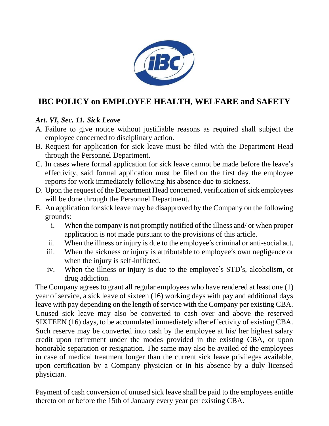

# **IBC POLICY on EMPLOYEE HEALTH, WELFARE and SAFETY**

## *Art. VI, Sec. 11. Sick Leave*

- A. Failure to give notice without justifiable reasons as required shall subject the employee concerned to disciplinary action.
- B. Request for application for sick leave must be filed with the Department Head through the Personnel Department.
- C. In cases where formal application for sick leave cannot be made before the leave's effectivity, said formal application must be filed on the first day the employee reports for work immediately following his absence due to sickness.
- D. Upon the request of the Department Head concerned, verification of sick employees will be done through the Personnel Department.
- E. An application for sick leave may be disapproved by the Company on the following grounds:
	- i. When the company is not promptly notified of the illness and/ or when proper application is not made pursuant to the provisions of this article.
	- ii. When the illness or injury is due to the employee's criminal or anti-social act.
	- iii. When the sickness or injury is attributable to employee's own negligence or when the injury is self-inflicted.
	- iv. When the illness or injury is due to the employee's STD's, alcoholism, or drug addiction.

The Company agrees to grant all regular employees who have rendered at least one (1) year of service, a sick leave of sixteen (16) working days with pay and additional days leave with pay depending on the length of service with the Company per existing CBA. Unused sick leave may also be converted to cash over and above the reserved SIXTEEN (16) days, to be accumulated immediately after effectivity of existing CBA. Such reserve may be converted into cash by the employee at his/ her highest salary credit upon retirement under the modes provided in the existing CBA, or upon honorable separation or resignation. The same may also be availed of the employees in case of medical treatment longer than the current sick leave privileges available, upon certification by a Company physician or in his absence by a duly licensed physician.

Payment of cash conversion of unused sick leave shall be paid to the employees entitle thereto on or before the 15th of January every year per existing CBA.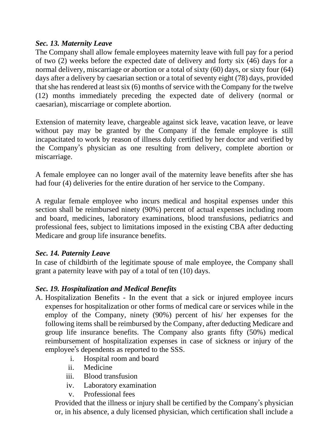#### *Sec. 13. Maternity Leave*

The Company shall allow female employees maternity leave with full pay for a period of two (2) weeks before the expected date of delivery and forty six (46) days for a normal delivery, miscarriage or abortion or a total of sixty (60) days, or sixty four (64) days after a delivery by caesarian section or a total of seventy eight (78) days, provided that she has rendered at least six (6) months of service with the Company for the twelve (12) months immediately preceding the expected date of delivery (normal or caesarian), miscarriage or complete abortion.

Extension of maternity leave, chargeable against sick leave, vacation leave, or leave without pay may be granted by the Company if the female employee is still incapacitated to work by reason of illness duly certified by her doctor and verified by the Company's physician as one resulting from delivery, complete abortion or miscarriage.

A female employee can no longer avail of the maternity leave benefits after she has had four (4) deliveries for the entire duration of her service to the Company.

A regular female employee who incurs medical and hospital expenses under this section shall be reimbursed ninety (90%) percent of actual expenses including room and board, medicines, laboratory examinations, blood transfusions, pediatrics and professional fees, subject to limitations imposed in the existing CBA after deducting Medicare and group life insurance benefits.

### *Sec. 14. Paternity Leave*

In case of childbirth of the legitimate spouse of male employee, the Company shall grant a paternity leave with pay of a total of ten (10) days.

### *Sec. 19. Hospitalization and Medical Benefits*

- A. Hospitalization Benefits In the event that a sick or injured employee incurs expenses for hospitalization or other forms of medical care or services while in the employ of the Company, ninety (90%) percent of his/ her expenses for the following items shall be reimbursed by the Company, after deducting Medicare and group life insurance benefits. The Company also grants fifty (50%) medical reimbursement of hospitalization expenses in case of sickness or injury of the employee's dependents as reported to the SSS.
	- i. Hospital room and board
	- ii. Medicine
	- iii. Blood transfusion
	- iv. Laboratory examination
	- v. Professional fees

Provided that the illness or injury shall be certified by the Company's physician or, in his absence, a duly licensed physician, which certification shall include a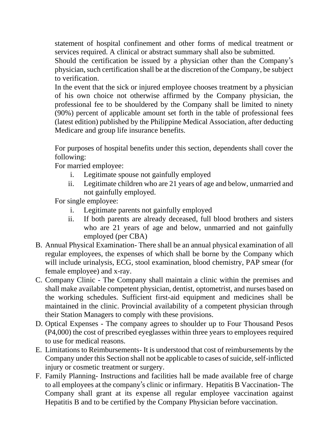statement of hospital confinement and other forms of medical treatment or services required. A clinical or abstract summary shall also be submitted.

Should the certification be issued by a physician other than the Company's physician, such certification shall be at the discretion of the Company, be subject to verification.

In the event that the sick or injured employee chooses treatment by a physician of his own choice not otherwise affirmed by the Company physician, the professional fee to be shouldered by the Company shall be limited to ninety (90%) percent of applicable amount set forth in the table of professional fees (latest edition) published by the Philippine Medical Association, after deducting Medicare and group life insurance benefits.

For purposes of hospital benefits under this section, dependents shall cover the following:

For married employee:

- i. Legitimate spouse not gainfully employed
- ii. Legitimate children who are 21 years of age and below, unmarried and not gainfully employed.

For single employee:

- i. Legitimate parents not gainfully employed
- ii. If both parents are already deceased, full blood brothers and sisters who are 21 years of age and below, unmarried and not gainfully employed (per CBA)
- B. Annual Physical Examination- There shall be an annual physical examination of all regular employees, the expenses of which shall be borne by the Company which will include urinalysis, ECG, stool examination, blood chemistry, PAP smear (for female employee) and x-ray.
- C. Company Clinic The Company shall maintain a clinic within the premises and shall make available competent physician, dentist, optometrist, and nurses based on the working schedules. Sufficient first-aid equipment and medicines shall be maintained in the clinic. Provincial availability of a competent physician through their Station Managers to comply with these provisions.
- D. Optical Expenses The company agrees to shoulder up to Four Thousand Pesos (P4,000) the cost of prescribed eyeglasses within three years to employees required to use for medical reasons.
- E. Limitations to Reimbursements- It is understood that cost of reimbursements by the Company under this Section shall not be applicable to cases of suicide, self-inflicted injury or cosmetic treatment or surgery.
- F. Family Planning- Instructions and facilities hall be made available free of charge to all employees at the company's clinic or infirmary. Hepatitis B Vaccination- The Company shall grant at its expense all regular employee vaccination against Hepatitis B and to be certified by the Company Physician before vaccination.